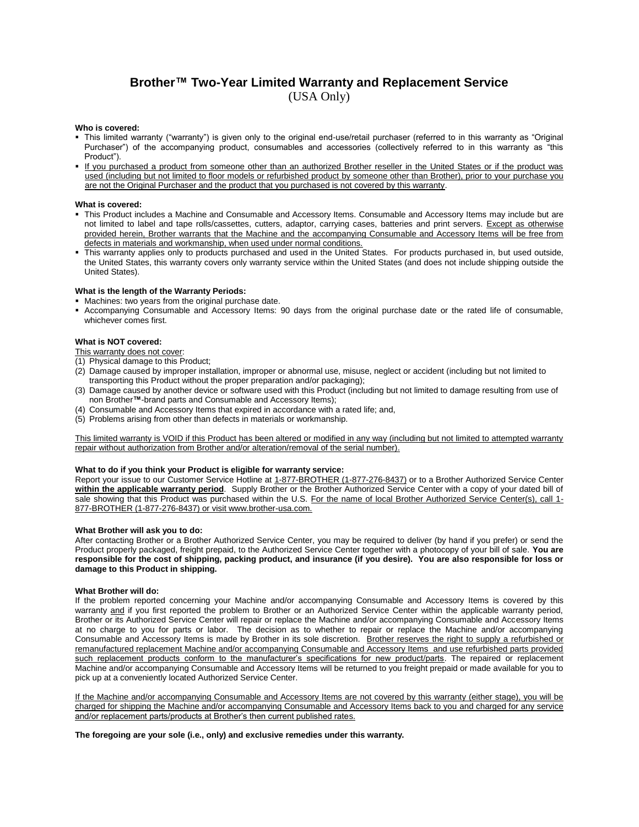# **Brother™ Two-Year Limited Warranty and Replacement Service** (USA Only)

#### **Who is covered:**

- This limited warranty ("warranty") is given only to the original end-use/retail purchaser (referred to in this warranty as "Original Purchaser") of the accompanying product, consumables and accessories (collectively referred to in this warranty as "this Product").
- If you purchased a product from someone other than an authorized Brother reseller in the United States or if the product was used (including but not limited to floor models or refurbished product by someone other than Brother), prior to your purchase you are not the Original Purchaser and the product that you purchased is not covered by this warranty.

### **What is covered:**

- This Product includes a Machine and Consumable and Accessory Items. Consumable and Accessory Items may include but are not limited to label and tape rolls/cassettes, cutters, adaptor, carrying cases, batteries and print servers. Except as otherwise provided herein, Brother warrants that the Machine and the accompanying Consumable and Accessory Items will be free from defects in materials and workmanship, when used under normal conditions.
- This warranty applies only to products purchased and used in the United States. For products purchased in, but used outside, the United States, this warranty covers only warranty service within the United States (and does not include shipping outside the United States).

# **What is the length of the Warranty Periods:**

- **Machines: two vears from the original purchase date.**
- Accompanying Consumable and Accessory Items: 90 days from the original purchase date or the rated life of consumable, whichever comes first.

# **What is NOT covered:**

- This warranty does not cover:
- (1) Physical damage to this Product;
- (2) Damage caused by improper installation, improper or abnormal use, misuse, neglect or accident (including but not limited to transporting this Product without the proper preparation and/or packaging);
- (3) Damage caused by another device or software used with this Product (including but not limited to damage resulting from use of non Brother**™**-brand parts and Consumable and Accessory Items);
- (4) Consumable and Accessory Items that expired in accordance with a rated life; and,
- (5) Problems arising from other than defects in materials or workmanship.

This limited warranty is VOID if this Product has been altered or modified in any way (including but not limited to attempted warranty repair without authorization from Brother and/or alteration/removal of the serial number).

## **What to do if you think your Product is eligible for warranty service:**

Report your issue to our Customer Service Hotline at 1-877-BROTHER (1-877-276-8437) or to a Brother Authorized Service Center **within the applicable warranty period**. Supply Brother or the Brother Authorized Service Center with a copy of your dated bill of sale showing that this Product was purchased within the U.S. For the name of local Brother Authorized Service Center(s), call 1- 877-BROTHER (1-877-276-8437) or visit www.brother-usa.com.

# **What Brother will ask you to do:**

After contacting Brother or a Brother Authorized Service Center, you may be required to deliver (by hand if you prefer) or send the Product properly packaged, freight prepaid, to the Authorized Service Center together with a photocopy of your bill of sale. **You are responsible for the cost of shipping, packing product, and insurance (if you desire). You are also responsible for loss or damage to this Product in shipping.**

#### **What Brother will do:**

If the problem reported concerning your Machine and/or accompanying Consumable and Accessory Items is covered by this warranty and if you first reported the problem to Brother or an Authorized Service Center within the applicable warranty period, Brother or its Authorized Service Center will repair or replace the Machine and/or accompanying Consumable and Accessory Items at no charge to you for parts or labor. The decision as to whether to repair or replace the Machine and/or accompanying Consumable and Accessory Items is made by Brother in its sole discretion. Brother reserves the right to supply a refurbished or remanufactured replacement Machine and/or accompanying Consumable and Accessory Items and use refurbished parts provided such replacement products conform to the manufacturer's specifications for new product/parts. The repaired or replacement Machine and/or accompanying Consumable and Accessory Items will be returned to you freight prepaid or made available for you to pick up at a conveniently located Authorized Service Center.

If the Machine and/or accompanying Consumable and Accessory Items are not covered by this warranty (either stage), you will be charged for shipping the Machine and/or accompanying Consumable and Accessory Items back to you and charged for any service and/or replacement parts/products at Brother's then current published rates.

**The foregoing are your sole (i.e., only) and exclusive remedies under this warranty.**